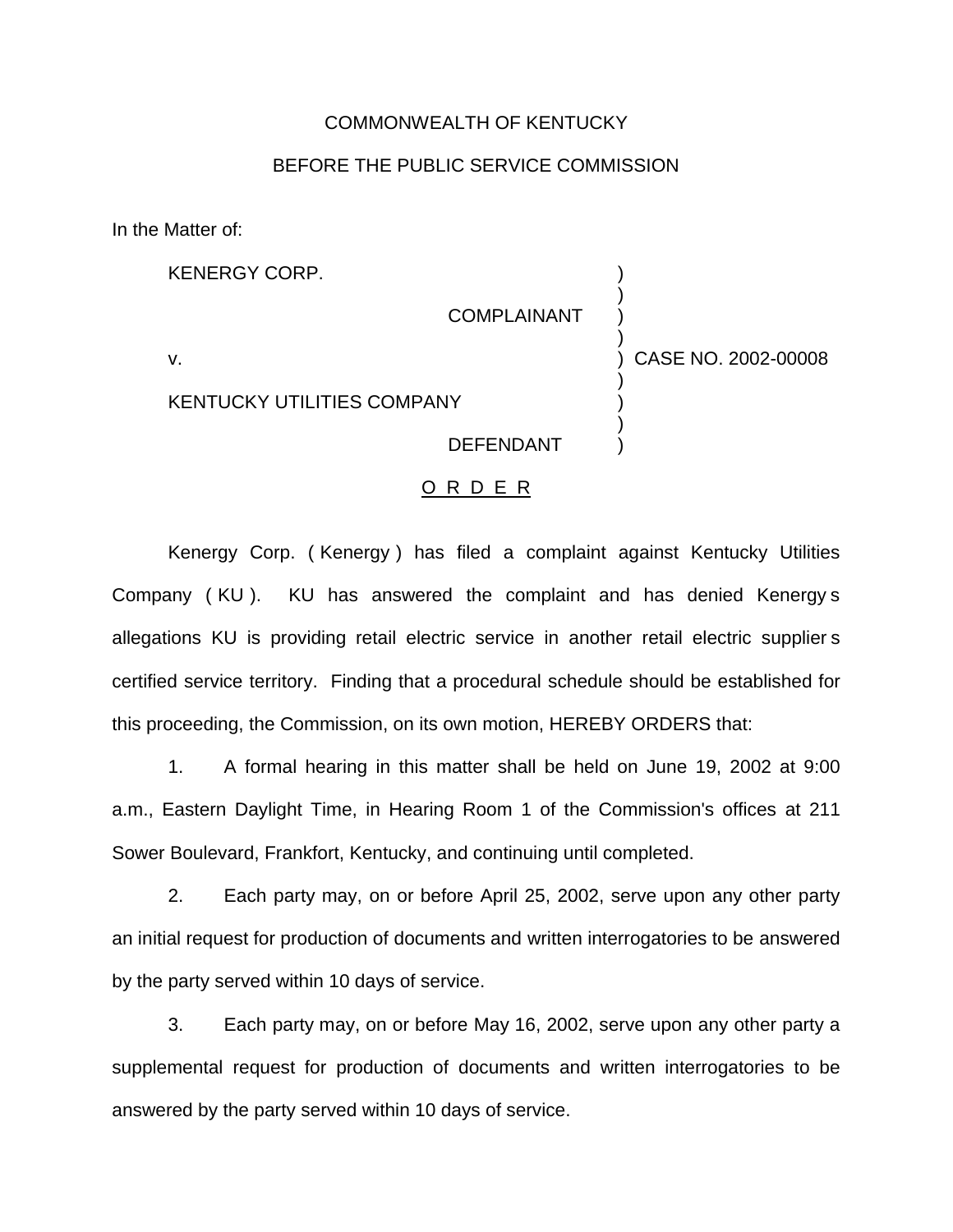## COMMONWEALTH OF KENTUCKY

## BEFORE THE PUBLIC SERVICE COMMISSION

In the Matter of:

| <b>KENERGY CORP.</b>              |                    |                     |
|-----------------------------------|--------------------|---------------------|
|                                   | <b>COMPLAINANT</b> |                     |
| v.                                |                    | CASE NO. 2002-00008 |
| <b>KENTUCKY UTILITIES COMPANY</b> |                    |                     |
|                                   | <b>DEFENDANT</b>   |                     |

## O R D E R

Kenergy Corp. ( Kenergy ) has filed a complaint against Kentucky Utilities Company ( KU ). KU has answered the complaint and has denied Kenergy s allegations KU is providing retail electric service in another retail electric supplier s certified service territory. Finding that a procedural schedule should be established for this proceeding, the Commission, on its own motion, HEREBY ORDERS that:

1. A formal hearing in this matter shall be held on June 19, 2002 at 9:00 a.m., Eastern Daylight Time, in Hearing Room 1 of the Commission's offices at 211 Sower Boulevard, Frankfort, Kentucky, and continuing until completed.

2. Each party may, on or before April 25, 2002, serve upon any other party an initial request for production of documents and written interrogatories to be answered by the party served within 10 days of service.

3. Each party may, on or before May 16, 2002, serve upon any other party a supplemental request for production of documents and written interrogatories to be answered by the party served within 10 days of service.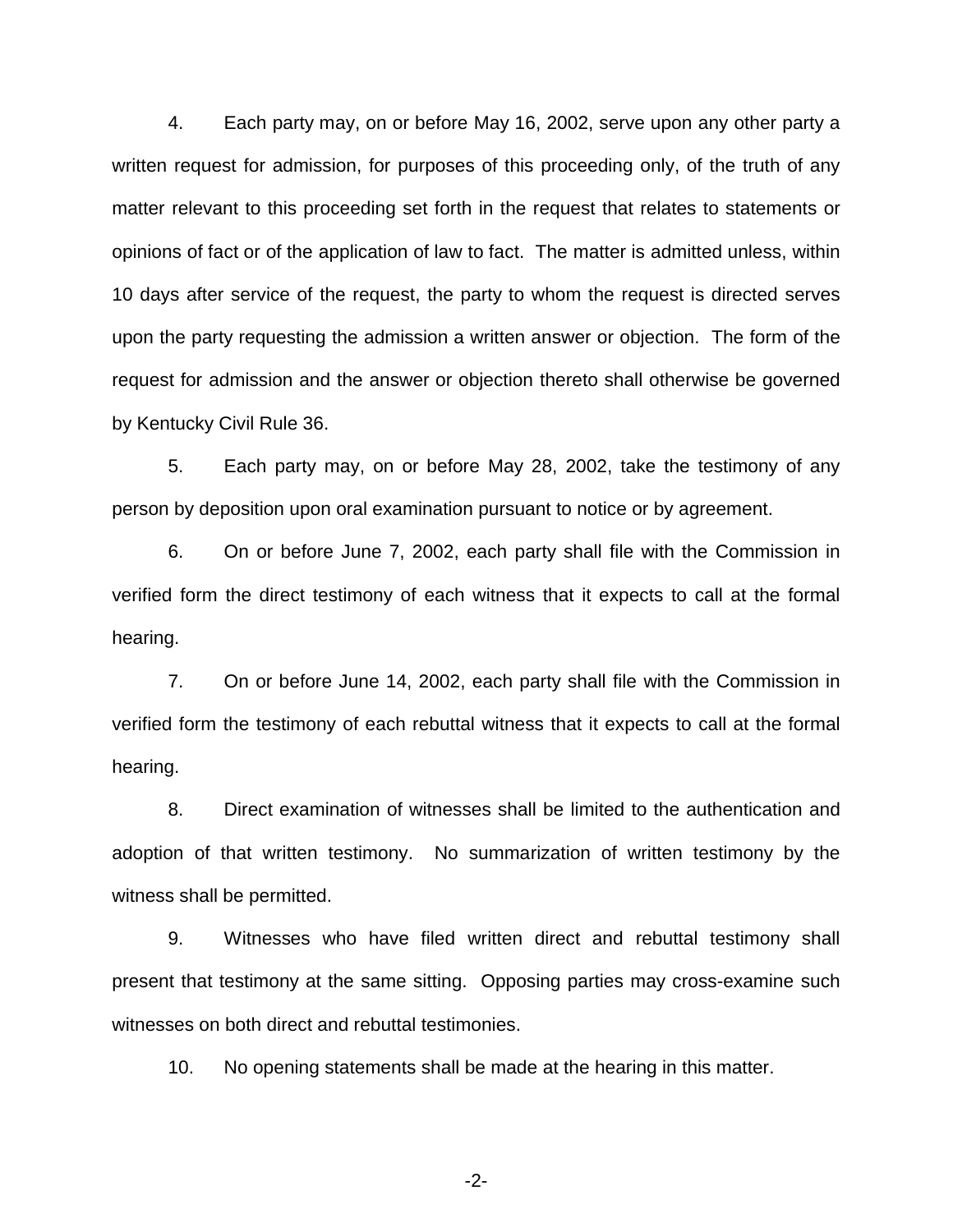4. Each party may, on or before May 16, 2002, serve upon any other party a written request for admission, for purposes of this proceeding only, of the truth of any matter relevant to this proceeding set forth in the request that relates to statements or opinions of fact or of the application of law to fact. The matter is admitted unless, within 10 days after service of the request, the party to whom the request is directed serves upon the party requesting the admission a written answer or objection. The form of the request for admission and the answer or objection thereto shall otherwise be governed by Kentucky Civil Rule 36.

5. Each party may, on or before May 28, 2002, take the testimony of any person by deposition upon oral examination pursuant to notice or by agreement.

6. On or before June 7, 2002, each party shall file with the Commission in verified form the direct testimony of each witness that it expects to call at the formal hearing.

7. On or before June 14, 2002, each party shall file with the Commission in verified form the testimony of each rebuttal witness that it expects to call at the formal hearing.

8. Direct examination of witnesses shall be limited to the authentication and adoption of that written testimony. No summarization of written testimony by the witness shall be permitted.

9. Witnesses who have filed written direct and rebuttal testimony shall present that testimony at the same sitting. Opposing parties may cross-examine such witnesses on both direct and rebuttal testimonies.

10. No opening statements shall be made at the hearing in this matter.

-2-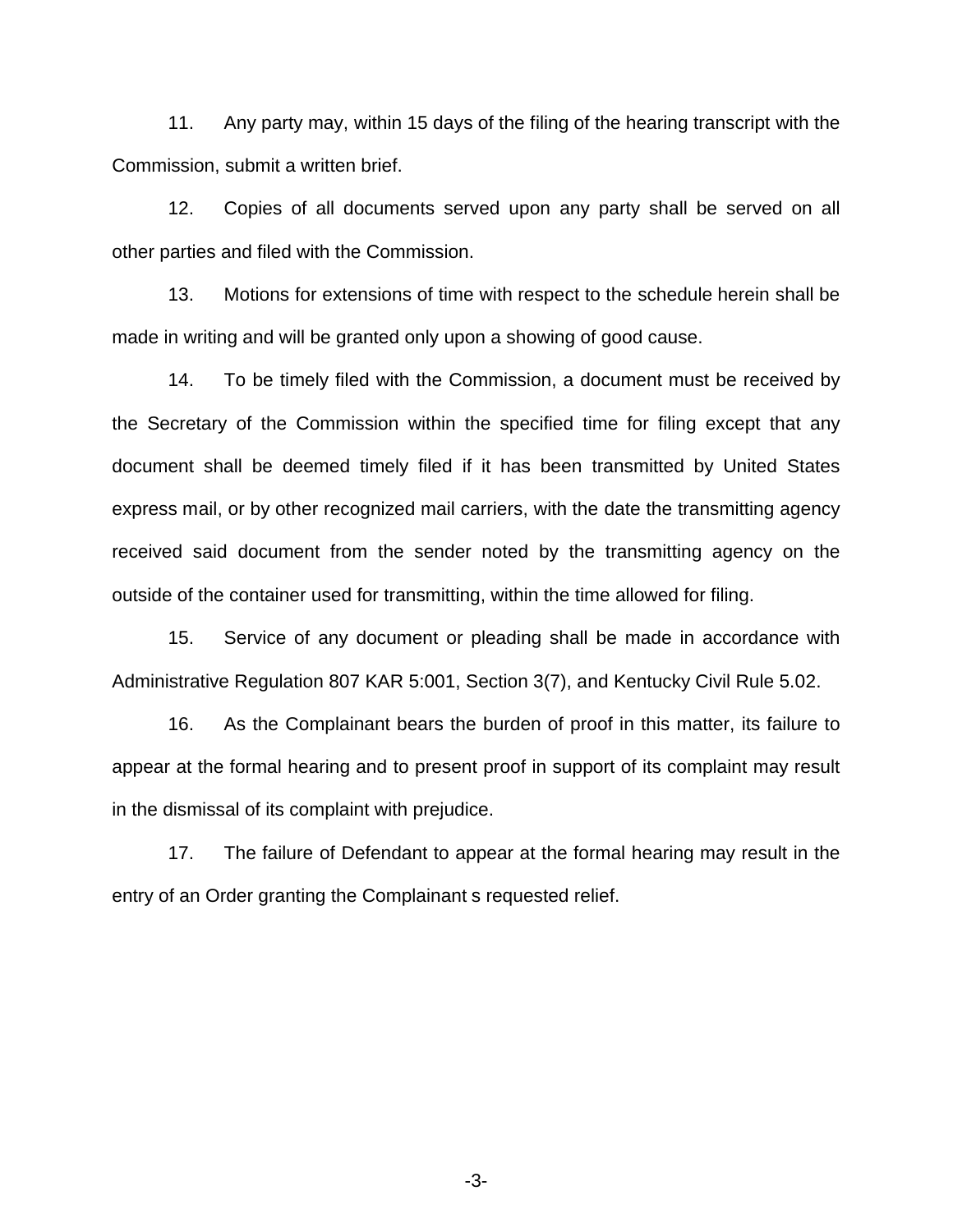11. Any party may, within 15 days of the filing of the hearing transcript with the Commission, submit a written brief.

12. Copies of all documents served upon any party shall be served on all other parties and filed with the Commission.

13. Motions for extensions of time with respect to the schedule herein shall be made in writing and will be granted only upon a showing of good cause.

14. To be timely filed with the Commission, a document must be received by the Secretary of the Commission within the specified time for filing except that any document shall be deemed timely filed if it has been transmitted by United States express mail, or by other recognized mail carriers, with the date the transmitting agency received said document from the sender noted by the transmitting agency on the outside of the container used for transmitting, within the time allowed for filing.

15. Service of any document or pleading shall be made in accordance with Administrative Regulation 807 KAR 5:001, Section 3(7), and Kentucky Civil Rule 5.02.

16. As the Complainant bears the burden of proof in this matter, its failure to appear at the formal hearing and to present proof in support of its complaint may result in the dismissal of its complaint with prejudice.

17. The failure of Defendant to appear at the formal hearing may result in the entry of an Order granting the Complainant s requested relief.

-3-